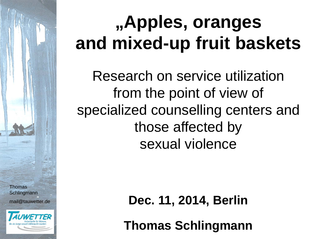#### **"Apples, oranges and mixed-up fruit baskets**

Research on service utilization from the point of view of specialized counselling centers and those affected by sexual violence

Thomas **Schlingmann** mail@tauwetter.de



**Dec. 11, 2014, Berlin**

**Thomas Schlingmann**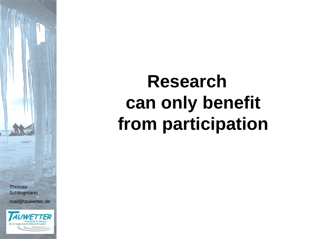#### **Research can only benefit from participation**

**Thomas Schlingmann** mail@tauwetter.de

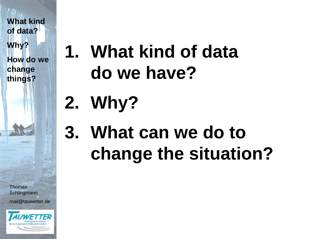**How do we change things?**

**Thomas Schlingmann** mail@tauwetter.de



#### **1. What kind of data do we have?**

# **2. Why?**

#### **3. What can we do to change the situation?**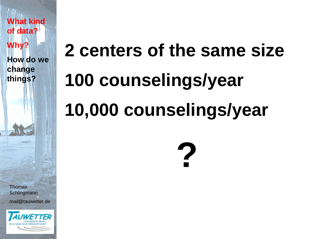**How do we change things?**

**Thomas Schlingmann** mail@tauwetter.de



# **2 centers of the same size 100 counselings/year 10,000 counselings/year**

**?**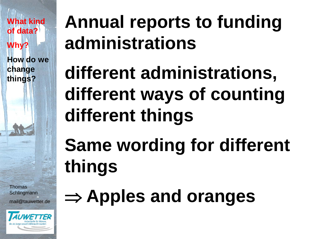**How do we change things?**

**Thomas Schlingmann** mail@tauwetter.de



#### **Annual reports to funding administrations**

## **different administrations, different ways of counting different things**

# **Same wording for different things**

## ⇒ **Apples and oranges**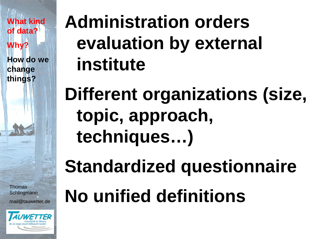**How do we change things?**

**Thomas Schlingmann** mail@tauwetter.de



#### **Administration orders evaluation by external institute**

#### **Different organizations (size, topic, approach, techniques…)**

## **Standardized questionnaire**

# **No unified definitions**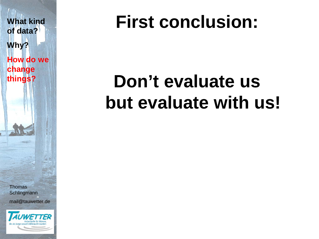

#### **First conclusion:**

#### **Don't evaluate us but evaluate with us!**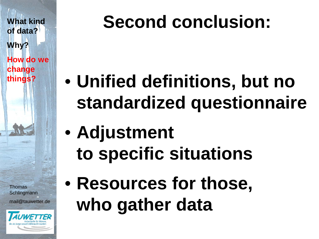**What kind of data? Why? How do we change things?**

**Thomas Schlingmann** mail@tauwetter.de



#### **Second conclusion:**

- **Unified definitions, but no standardized questionnaire**
- **Adjustment to specific situations**
- **Resources for those, who gather data**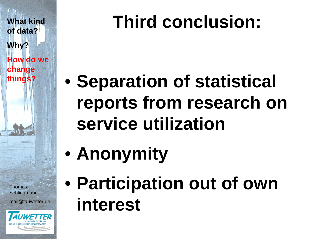**What kind of data? Why? How do we** 

**change things?**

| Thomas            |  |
|-------------------|--|
| Schlingmann       |  |
|                   |  |
| mail@tauwetter.de |  |
|                   |  |



## **Third conclusion:**

- **Separation of statistical reports from research on service utilization**
- **Anonymity**
- **Participation out of own interest**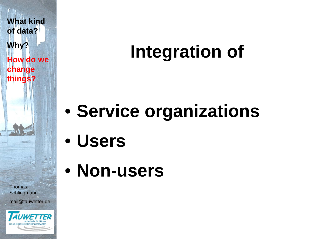**What kind of data? Why? How do we change things?**

**Thomas Schlingmann** mail@tauwetter.de



#### **Integration of**

## • **Service organizations**

- **Users**
- **Non-users**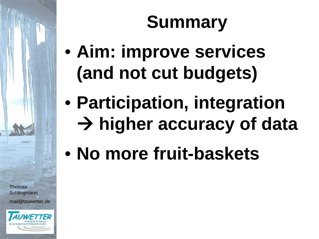## **Summary**

- **Aim: improve services (and not cut budgets)**
- **Participation, integration higher accuracy of data**
- **No more fruit-baskets**

**Thomas Schlingmann** mail@tauwetter.de